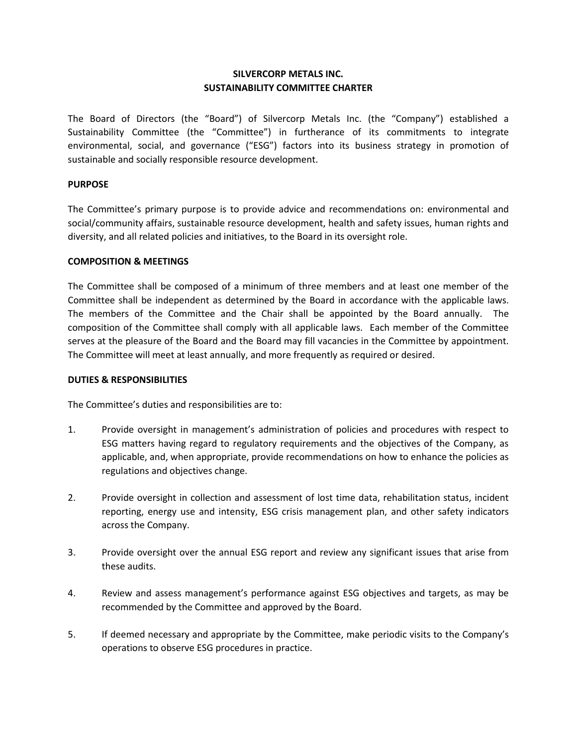# **SILVERCORP METALS INC. SUSTAINABILITY COMMITTEE CHARTER**

The Board of Directors (the "Board") of Silvercorp Metals Inc. (the "Company") established a Sustainability Committee (the "Committee") in furtherance of its commitments to integrate environmental, social, and governance ("ESG") factors into its business strategy in promotion of sustainable and socially responsible resource development.

### **PURPOSE**

The Committee's primary purpose is to provide advice and recommendations on: environmental and social/community affairs, sustainable resource development, health and safety issues, human rights and diversity, and all related policies and initiatives, to the Board in its oversight role.

### **COMPOSITION & MEETINGS**

The Committee shall be composed of a minimum of three members and at least one member of the Committee shall be independent as determined by the Board in accordance with the applicable laws. The members of the Committee and the Chair shall be appointed by the Board annually. The composition of the Committee shall comply with all applicable laws. Each member of the Committee serves at the pleasure of the Board and the Board may fill vacancies in the Committee by appointment. The Committee will meet at least annually, and more frequently as required or desired.

#### **DUTIES & RESPONSIBILITIES**

The Committee's duties and responsibilities are to:

- 1. Provide oversight in management's administration of policies and procedures with respect to ESG matters having regard to regulatory requirements and the objectives of the Company, as applicable, and, when appropriate, provide recommendations on how to enhance the policies as regulations and objectives change.
- 2. Provide oversight in collection and assessment of lost time data, rehabilitation status, incident reporting, energy use and intensity, ESG crisis management plan, and other safety indicators across the Company.
- 3. Provide oversight over the annual ESG report and review any significant issues that arise from these audits.
- 4. Review and assess management's performance against ESG objectives and targets, as may be recommended by the Committee and approved by the Board.
- 5. If deemed necessary and appropriate by the Committee, make periodic visits to the Company's operations to observe ESG procedures in practice.